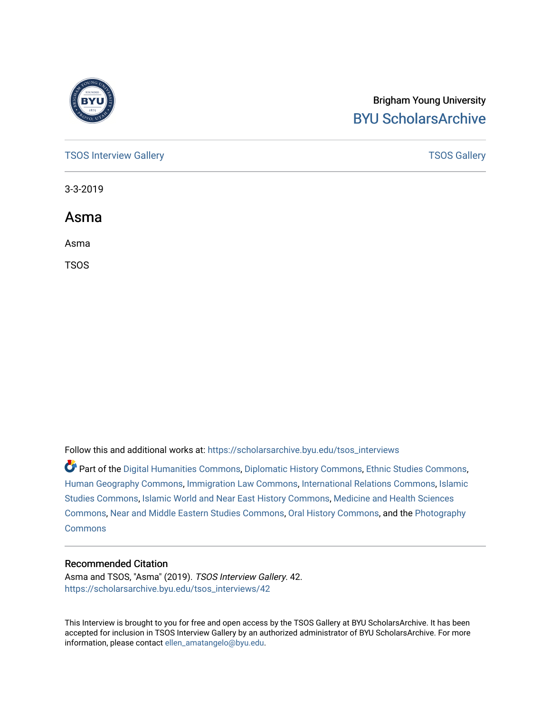

# Brigham Young University [BYU ScholarsArchive](https://scholarsarchive.byu.edu/)

[TSOS Interview Gallery](https://scholarsarchive.byu.edu/tsos_interviews) **TSOS** Gallery

3-3-2019

Asma

Asma

TSOS

Follow this and additional works at: [https://scholarsarchive.byu.edu/tsos\\_interviews](https://scholarsarchive.byu.edu/tsos_interviews?utm_source=scholarsarchive.byu.edu%2Ftsos_interviews%2F42&utm_medium=PDF&utm_campaign=PDFCoverPages) 

Part of the [Digital Humanities Commons](http://network.bepress.com/hgg/discipline/1286?utm_source=scholarsarchive.byu.edu%2Ftsos_interviews%2F42&utm_medium=PDF&utm_campaign=PDFCoverPages), [Diplomatic History Commons,](http://network.bepress.com/hgg/discipline/497?utm_source=scholarsarchive.byu.edu%2Ftsos_interviews%2F42&utm_medium=PDF&utm_campaign=PDFCoverPages) [Ethnic Studies Commons,](http://network.bepress.com/hgg/discipline/570?utm_source=scholarsarchive.byu.edu%2Ftsos_interviews%2F42&utm_medium=PDF&utm_campaign=PDFCoverPages) [Human Geography Commons](http://network.bepress.com/hgg/discipline/356?utm_source=scholarsarchive.byu.edu%2Ftsos_interviews%2F42&utm_medium=PDF&utm_campaign=PDFCoverPages), [Immigration Law Commons](http://network.bepress.com/hgg/discipline/604?utm_source=scholarsarchive.byu.edu%2Ftsos_interviews%2F42&utm_medium=PDF&utm_campaign=PDFCoverPages), [International Relations Commons,](http://network.bepress.com/hgg/discipline/389?utm_source=scholarsarchive.byu.edu%2Ftsos_interviews%2F42&utm_medium=PDF&utm_campaign=PDFCoverPages) [Islamic](http://network.bepress.com/hgg/discipline/1346?utm_source=scholarsarchive.byu.edu%2Ftsos_interviews%2F42&utm_medium=PDF&utm_campaign=PDFCoverPages) [Studies Commons,](http://network.bepress.com/hgg/discipline/1346?utm_source=scholarsarchive.byu.edu%2Ftsos_interviews%2F42&utm_medium=PDF&utm_campaign=PDFCoverPages) [Islamic World and Near East History Commons](http://network.bepress.com/hgg/discipline/493?utm_source=scholarsarchive.byu.edu%2Ftsos_interviews%2F42&utm_medium=PDF&utm_campaign=PDFCoverPages), [Medicine and Health Sciences](http://network.bepress.com/hgg/discipline/648?utm_source=scholarsarchive.byu.edu%2Ftsos_interviews%2F42&utm_medium=PDF&utm_campaign=PDFCoverPages)  [Commons](http://network.bepress.com/hgg/discipline/648?utm_source=scholarsarchive.byu.edu%2Ftsos_interviews%2F42&utm_medium=PDF&utm_campaign=PDFCoverPages), [Near and Middle Eastern Studies Commons](http://network.bepress.com/hgg/discipline/1308?utm_source=scholarsarchive.byu.edu%2Ftsos_interviews%2F42&utm_medium=PDF&utm_campaign=PDFCoverPages), [Oral History Commons](http://network.bepress.com/hgg/discipline/1195?utm_source=scholarsarchive.byu.edu%2Ftsos_interviews%2F42&utm_medium=PDF&utm_campaign=PDFCoverPages), and the [Photography](http://network.bepress.com/hgg/discipline/1142?utm_source=scholarsarchive.byu.edu%2Ftsos_interviews%2F42&utm_medium=PDF&utm_campaign=PDFCoverPages)  **[Commons](http://network.bepress.com/hgg/discipline/1142?utm_source=scholarsarchive.byu.edu%2Ftsos_interviews%2F42&utm_medium=PDF&utm_campaign=PDFCoverPages)** 

#### Recommended Citation

Asma and TSOS, "Asma" (2019). TSOS Interview Gallery. 42. [https://scholarsarchive.byu.edu/tsos\\_interviews/42](https://scholarsarchive.byu.edu/tsos_interviews/42?utm_source=scholarsarchive.byu.edu%2Ftsos_interviews%2F42&utm_medium=PDF&utm_campaign=PDFCoverPages)

This Interview is brought to you for free and open access by the TSOS Gallery at BYU ScholarsArchive. It has been accepted for inclusion in TSOS Interview Gallery by an authorized administrator of BYU ScholarsArchive. For more information, please contact [ellen\\_amatangelo@byu.edu.](mailto:ellen_amatangelo@byu.edu)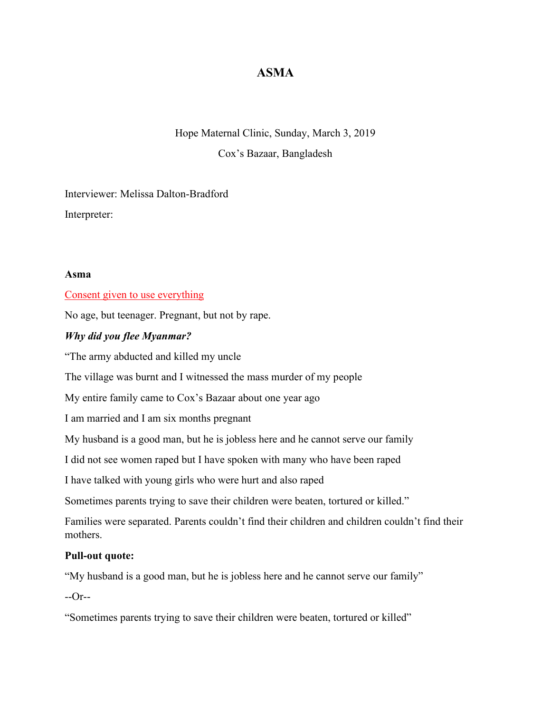# **ASMA**

# Hope Maternal Clinic, Sunday, March 3, 2019

Cox's Bazaar, Bangladesh

Interviewer: Melissa Dalton-Bradford Interpreter:

## **Asma**

Consent given to use everything

No age, but teenager. Pregnant, but not by rape.

## *Why did you flee Myanmar?*

"The army abducted and killed my uncle

The village was burnt and I witnessed the mass murder of my people

My entire family came to Cox's Bazaar about one year ago

I am married and I am six months pregnant

My husband is a good man, but he is jobless here and he cannot serve our family

I did not see women raped but I have spoken with many who have been raped

I have talked with young girls who were hurt and also raped

Sometimes parents trying to save their children were beaten, tortured or killed."

Families were separated. Parents couldn't find their children and children couldn't find their mothers.

# **Pull-out quote:**

"My husband is a good man, but he is jobless here and he cannot serve our family"

 $-Or-$ 

"Sometimes parents trying to save their children were beaten, tortured or killed"